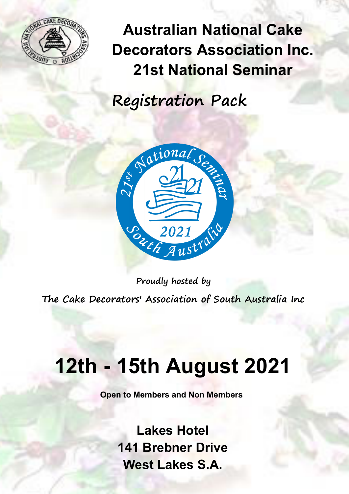

**Australian National Cake Decorators Association Inc. 21st National Seminar** 

**Registration Pack** 



**Proudly hosted by The Cake Decorators' Association of South Australia Inc** 

# **12th - 15th August 2021**

**Open to Members and Non Members** 

**Lakes Hotel 141 Brebner Drive West Lakes S.A.**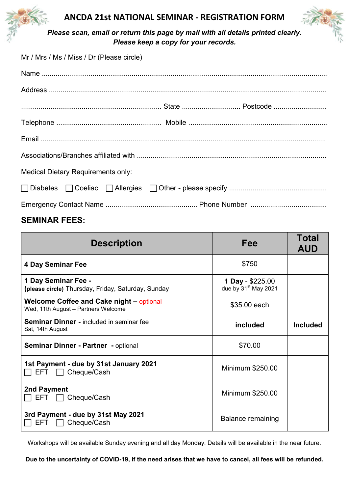

## **ANCDA 21st NATIONAL SEMINAR - REGISTRATION FORM**



**Please scan, email or return this page by mail with all details printed clearly.** *Please keep a copy for your records.* 

| Mr / Mrs / Ms / Miss / Dr (Please circle) |  |
|-------------------------------------------|--|
|                                           |  |
|                                           |  |
|                                           |  |
|                                           |  |
|                                           |  |
|                                           |  |
| <b>Medical Dietary Requirements only:</b> |  |
|                                           |  |
|                                           |  |

## **SEMINAR FEES:**

| <b>Description</b>                                                                     | Fee                                                  | Total<br><b>AUD</b> |
|----------------------------------------------------------------------------------------|------------------------------------------------------|---------------------|
| <b>4 Day Seminar Fee</b>                                                               | \$750                                                |                     |
| 1 Day Seminar Fee -<br>(please circle) Thursday, Friday, Saturday, Sunday              | 1 Day - \$225.00<br>due by 31 <sup>st</sup> May 2021 |                     |
| <b>Welcome Coffee and Cake night – optional</b><br>Wed, 11th August - Partners Welcome | \$35.00 each                                         |                     |
| <b>Seminar Dinner - included in seminar fee</b><br>Sat, 14th August                    | included                                             | <b>Included</b>     |
| <b>Seminar Dinner - Partner - optional</b>                                             | \$70.00                                              |                     |
| 1st Payment - due by 31st January 2021<br>Cheque/Cash<br>EFT.                          | Minimum \$250.00                                     |                     |
| 2nd Payment<br>EFT.<br>Cheque/Cash                                                     | Minimum \$250.00                                     |                     |
| 3rd Payment - due by 31st May 2021<br>Cheque/Cash<br>EFT.                              | Balance remaining                                    |                     |

Workshops will be available Sunday evening and all day Monday. Details will be available in the near future.

**Due to the uncertainty of COVID-19, if the need arises that we have to cancel, all fees will be refunded.**